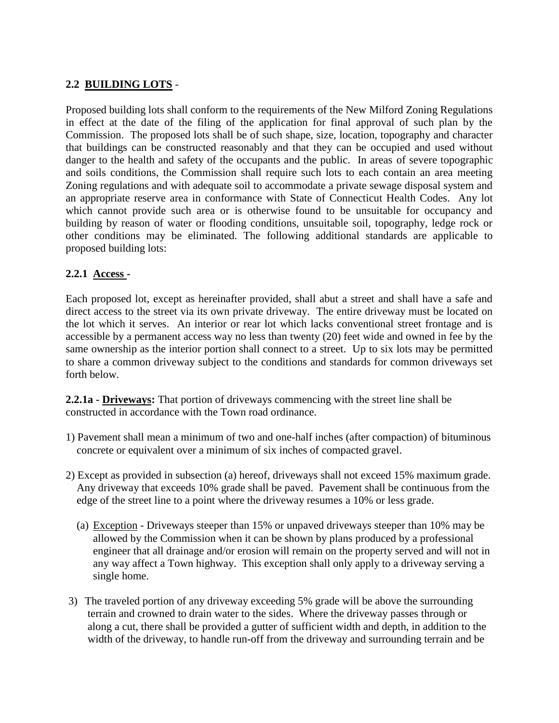# **2.2 BUILDING LOTS** -

Proposed building lots shall conform to the requirements of the New Milford Zoning Regulations in effect at the date of the filing of the application for final approval of such plan by the Commission. The proposed lots shall be of such shape, size, location, topography and character that buildings can be constructed reasonably and that they can be occupied and used without danger to the health and safety of the occupants and the public. In areas of severe topographic and soils conditions, the Commission shall require such lots to each contain an area meeting Zoning regulations and with adequate soil to accommodate a private sewage disposal system and an appropriate reserve area in conformance with State of Connecticut Health Codes. Any lot which cannot provide such area or is otherwise found to be unsuitable for occupancy and building by reason of water or flooding conditions, unsuitable soil, topography, ledge rock or other conditions may be eliminated. The following additional standards are applicable to proposed building lots:

### **2.2.1 Access -**

Each proposed lot, except as hereinafter provided, shall abut a street and shall have a safe and direct access to the street via its own private driveway. The entire driveway must be located on the lot which it serves. An interior or rear lot which lacks conventional street frontage and is accessible by a permanent access way no less than twenty (20) feet wide and owned in fee by the same ownership as the interior portion shall connect to a street. Up to six lots may be permitted to share a common driveway subject to the conditions and standards for common driveways set forth below.

**2.2.1a - Driveways:** That portion of driveways commencing with the street line shall be constructed in accordance with the Town road ordinance.

- 1) Pavement shall mean a minimum of two and one-half inches (after compaction) of bituminous concrete or equivalent over a minimum of six inches of compacted gravel.
- 2) Except as provided in subsection (a) hereof, driveways shall not exceed 15% maximum grade. Any driveway that exceeds 10% grade shall be paved. Pavement shall be continuous from the edge of the street line to a point where the driveway resumes a 10% or less grade.
	- (a) Exception Driveways steeper than 15% or unpaved driveways steeper than 10% may be allowed by the Commission when it can be shown by plans produced by a professional engineer that all drainage and/or erosion will remain on the property served and will not in any way affect a Town highway. This exception shall only apply to a driveway serving a single home.
- 3) The traveled portion of any driveway exceeding 5% grade will be above the surrounding terrain and crowned to drain water to the sides. Where the driveway passes through or along a cut, there shall be provided a gutter of sufficient width and depth, in addition to the width of the driveway, to handle run-off from the driveway and surrounding terrain and be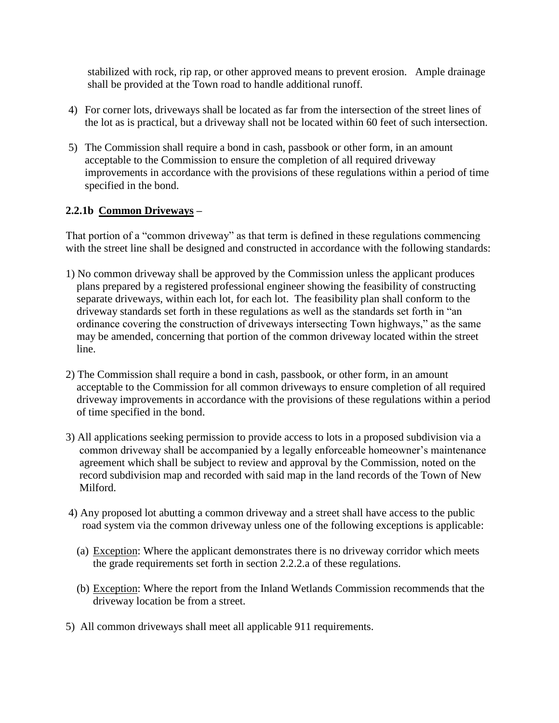stabilized with rock, rip rap, or other approved means to prevent erosion. Ample drainage shall be provided at the Town road to handle additional runoff.

- 4) For corner lots, driveways shall be located as far from the intersection of the street lines of the lot as is practical, but a driveway shall not be located within 60 feet of such intersection.
- 5) The Commission shall require a bond in cash, passbook or other form, in an amount acceptable to the Commission to ensure the completion of all required driveway improvements in accordance with the provisions of these regulations within a period of time specified in the bond.

# **2.2.1b Common Driveways –**

That portion of a "common driveway" as that term is defined in these regulations commencing with the street line shall be designed and constructed in accordance with the following standards:

- 1) No common driveway shall be approved by the Commission unless the applicant produces plans prepared by a registered professional engineer showing the feasibility of constructing separate driveways, within each lot, for each lot. The feasibility plan shall conform to the driveway standards set forth in these regulations as well as the standards set forth in "an ordinance covering the construction of driveways intersecting Town highways," as the same may be amended, concerning that portion of the common driveway located within the street line.
- 2) The Commission shall require a bond in cash, passbook, or other form, in an amount acceptable to the Commission for all common driveways to ensure completion of all required driveway improvements in accordance with the provisions of these regulations within a period of time specified in the bond.
- 3) All applications seeking permission to provide access to lots in a proposed subdivision via a common driveway shall be accompanied by a legally enforceable homeowner's maintenance agreement which shall be subject to review and approval by the Commission, noted on the record subdivision map and recorded with said map in the land records of the Town of New Milford.
- 4) Any proposed lot abutting a common driveway and a street shall have access to the public road system via the common driveway unless one of the following exceptions is applicable:
	- (a) Exception: Where the applicant demonstrates there is no driveway corridor which meets the grade requirements set forth in section 2.2.2.a of these regulations.
	- (b) Exception: Where the report from the Inland Wetlands Commission recommends that the driveway location be from a street.
- 5) All common driveways shall meet all applicable 911 requirements.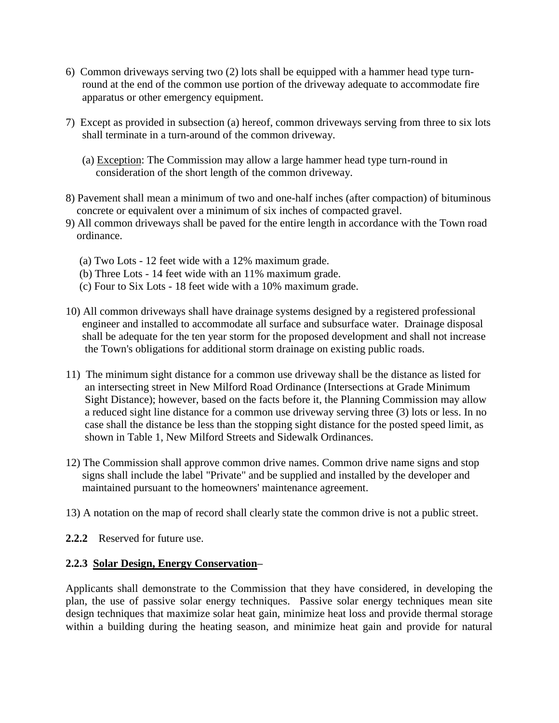- 6) Common driveways serving two (2) lots shall be equipped with a hammer head type turn round at the end of the common use portion of the driveway adequate to accommodate fire apparatus or other emergency equipment.
- 7) Except as provided in subsection (a) hereof, common driveways serving from three to six lots shall terminate in a turn-around of the common driveway.
	- (a) Exception: The Commission may allow a large hammer head type turn-round in consideration of the short length of the common driveway.
- 8) Pavement shall mean a minimum of two and one-half inches (after compaction) of bituminous concrete or equivalent over a minimum of six inches of compacted gravel.
- 9) All common driveways shall be paved for the entire length in accordance with the Town road ordinance.
	- (a) Two Lots 12 feet wide with a 12% maximum grade.
	- (b) Three Lots 14 feet wide with an 11% maximum grade.
	- (c) Four to Six Lots 18 feet wide with a 10% maximum grade.
- 10) All common driveways shall have drainage systems designed by a registered professional engineer and installed to accommodate all surface and subsurface water. Drainage disposal shall be adequate for the ten year storm for the proposed development and shall not increase the Town's obligations for additional storm drainage on existing public roads.
- 11) The minimum sight distance for a common use driveway shall be the distance as listed for an intersecting street in New Milford Road Ordinance (Intersections at Grade Minimum Sight Distance); however, based on the facts before it, the Planning Commission may allow a reduced sight line distance for a common use driveway serving three (3) lots or less. In no case shall the distance be less than the stopping sight distance for the posted speed limit, as shown in Table 1, New Milford Streets and Sidewalk Ordinances.
- 12) The Commission shall approve common drive names. Common drive name signs and stop signs shall include the label "Private" and be supplied and installed by the developer and maintained pursuant to the homeowners' maintenance agreement.
- 13) A notation on the map of record shall clearly state the common drive is not a public street.
- **2.2.2** Reserved for future use.

#### **2.2.3 Solar Design, Energy Conservation–**

Applicants shall demonstrate to the Commission that they have considered, in developing the plan, the use of passive solar energy techniques. Passive solar energy techniques mean site design techniques that maximize solar heat gain, minimize heat loss and provide thermal storage within a building during the heating season, and minimize heat gain and provide for natural